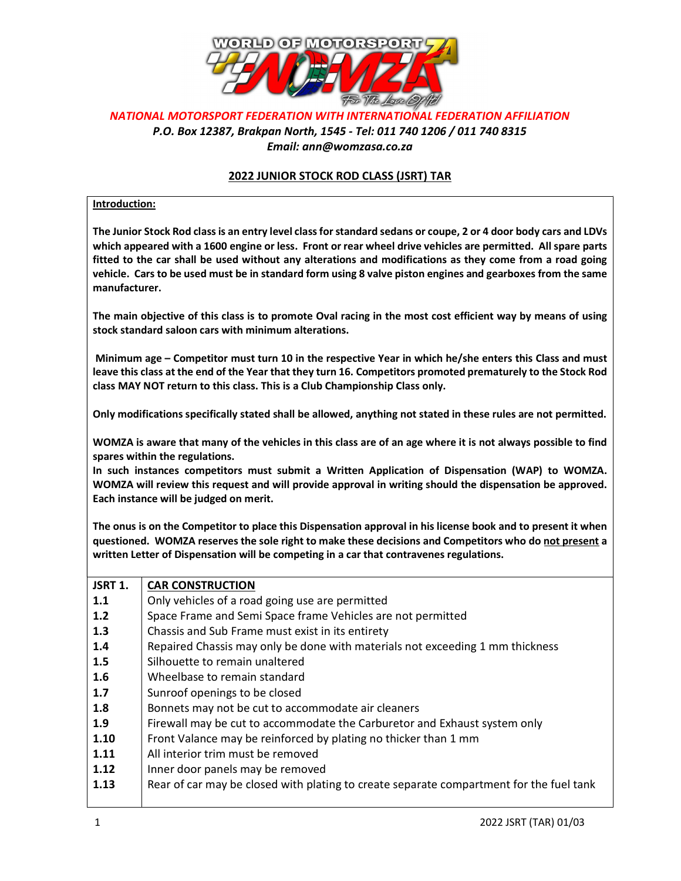

## NATIONAL MOTORSPORT FEDERATION WITH INTERNATIONAL FEDERATION AFFILIATION P.O. Box 12387, Brakpan North, 1545 - Tel: 011 740 1206 / 011 740 8315 Email: ann@womzasa.co.za

## 2022 JUNIOR STOCK ROD CLASS (JSRT) TAR

## Introduction:

The Junior Stock Rod class is an entry level class for standard sedans or coupe, 2 or 4 door body cars and LDVs which appeared with a 1600 engine or less. Front or rear wheel drive vehicles are permitted. All spare parts fitted to the car shall be used without any alterations and modifications as they come from a road going vehicle. Cars to be used must be in standard form using 8 valve piston engines and gearboxes from the same manufacturer.

The main objective of this class is to promote Oval racing in the most cost efficient way by means of using stock standard saloon cars with minimum alterations.

Minimum age – Competitor must turn 10 in the respective Year in which he/she enters this Class and must leave this class at the end of the Year that they turn 16. Competitors promoted prematurely to the Stock Rod class MAY NOT return to this class. This is a Club Championship Class only.

Only modifications specifically stated shall be allowed, anything not stated in these rules are not permitted.

WOMZA is aware that many of the vehicles in this class are of an age where it is not always possible to find spares within the regulations.

In such instances competitors must submit a Written Application of Dispensation (WAP) to WOMZA. WOMZA will review this request and will provide approval in writing should the dispensation be approved. Each instance will be judged on merit.

The onus is on the Competitor to place this Dispensation approval in his license book and to present it when questioned. WOMZA reserves the sole right to make these decisions and Competitors who do not present a written Letter of Dispensation will be competing in a car that contravenes regulations.

| JSRT 1. | <b>CAR CONSTRUCTION</b>                                                                 |
|---------|-----------------------------------------------------------------------------------------|
| 1.1     | Only vehicles of a road going use are permitted                                         |
| 1.2     | Space Frame and Semi Space frame Vehicles are not permitted                             |
| 1.3     | Chassis and Sub Frame must exist in its entirety                                        |
| 1.4     | Repaired Chassis may only be done with materials not exceeding 1 mm thickness           |
| 1.5     | Silhouette to remain unaltered                                                          |
| 1.6     | Wheelbase to remain standard                                                            |
| 1.7     | Sunroof openings to be closed                                                           |
| 1.8     | Bonnets may not be cut to accommodate air cleaners                                      |
| 1.9     | Firewall may be cut to accommodate the Carburetor and Exhaust system only               |
| 1.10    | Front Valance may be reinforced by plating no thicker than 1 mm                         |
| 1.11    | All interior trim must be removed                                                       |
| 1.12    | Inner door panels may be removed                                                        |
| 1.13    | Rear of car may be closed with plating to create separate compartment for the fuel tank |
|         |                                                                                         |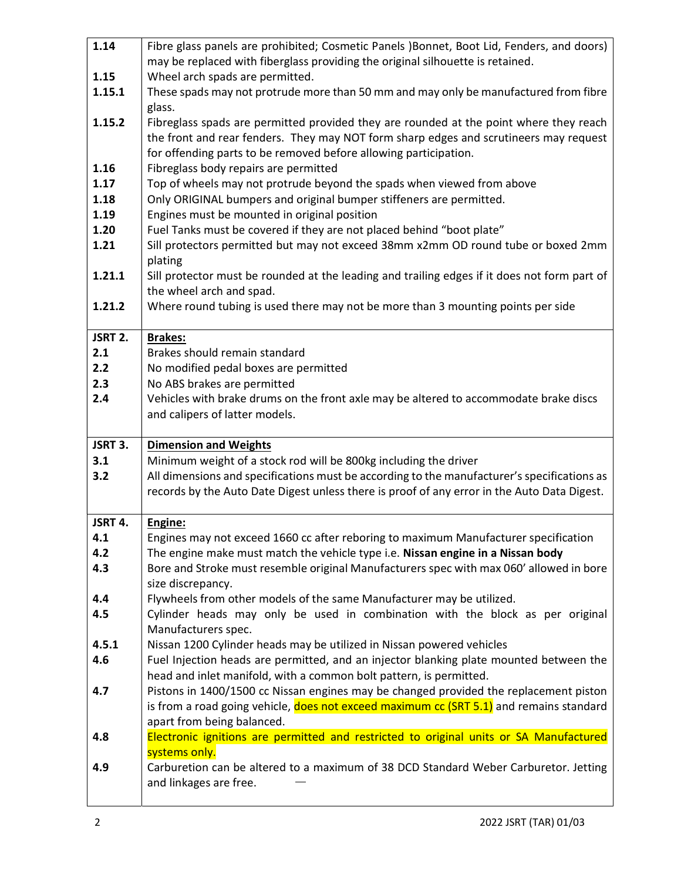| 1.14    | Fibre glass panels are prohibited; Cosmetic Panels )Bonnet, Boot Lid, Fenders, and doors)                      |
|---------|----------------------------------------------------------------------------------------------------------------|
|         | may be replaced with fiberglass providing the original silhouette is retained.                                 |
| 1.15    | Wheel arch spads are permitted.                                                                                |
| 1.15.1  | These spads may not protrude more than 50 mm and may only be manufactured from fibre                           |
|         | glass.                                                                                                         |
| 1.15.2  | Fibreglass spads are permitted provided they are rounded at the point where they reach                         |
|         | the front and rear fenders. They may NOT form sharp edges and scrutineers may request                          |
|         | for offending parts to be removed before allowing participation.                                               |
| 1.16    | Fibreglass body repairs are permitted                                                                          |
| 1.17    | Top of wheels may not protrude beyond the spads when viewed from above                                         |
| 1.18    | Only ORIGINAL bumpers and original bumper stiffeners are permitted.                                            |
| 1.19    | Engines must be mounted in original position                                                                   |
| 1.20    | Fuel Tanks must be covered if they are not placed behind "boot plate"                                          |
| 1.21    | Sill protectors permitted but may not exceed 38mm x2mm OD round tube or boxed 2mm                              |
|         | plating                                                                                                        |
| 1.21.1  | Sill protector must be rounded at the leading and trailing edges if it does not form part of                   |
|         | the wheel arch and spad.                                                                                       |
| 1.21.2  | Where round tubing is used there may not be more than 3 mounting points per side                               |
|         |                                                                                                                |
| JSRT 2. | <b>Brakes:</b>                                                                                                 |
| 2.1     | Brakes should remain standard                                                                                  |
| 2.2     | No modified pedal boxes are permitted                                                                          |
| 2.3     | No ABS brakes are permitted                                                                                    |
| 2.4     | Vehicles with brake drums on the front axle may be altered to accommodate brake discs                          |
|         | and calipers of latter models.                                                                                 |
|         |                                                                                                                |
| JSRT 3. |                                                                                                                |
|         | <b>Dimension and Weights</b>                                                                                   |
| 3.1     | Minimum weight of a stock rod will be 800kg including the driver                                               |
| 3.2     | All dimensions and specifications must be according to the manufacturer's specifications as                    |
|         | records by the Auto Date Digest unless there is proof of any error in the Auto Data Digest.                    |
|         |                                                                                                                |
| JSRT 4. | Engine:                                                                                                        |
| 4.1     | Engines may not exceed 1660 cc after reboring to maximum Manufacturer specification                            |
| 4.2     | The engine make must match the vehicle type i.e. Nissan engine in a Nissan body                                |
| 4.3     | Bore and Stroke must resemble original Manufacturers spec with max 060' allowed in bore                        |
|         | size discrepancy.                                                                                              |
| 4.4     | Flywheels from other models of the same Manufacturer may be utilized.                                          |
| 4.5     | Cylinder heads may only be used in combination with the block as per original                                  |
|         | Manufacturers spec.                                                                                            |
| 4.5.1   | Nissan 1200 Cylinder heads may be utilized in Nissan powered vehicles                                          |
| 4.6     | Fuel Injection heads are permitted, and an injector blanking plate mounted between the                         |
|         | head and inlet manifold, with a common bolt pattern, is permitted.                                             |
| 4.7     | Pistons in 1400/1500 cc Nissan engines may be changed provided the replacement piston                          |
|         | is from a road going vehicle, does not exceed maximum cc (SRT 5.1) and remains standard                        |
|         | apart from being balanced.                                                                                     |
| 4.8     | Electronic ignitions are permitted and restricted to original units or SA Manufactured                         |
|         | systems only.                                                                                                  |
| 4.9     | Carburetion can be altered to a maximum of 38 DCD Standard Weber Carburetor. Jetting<br>and linkages are free. |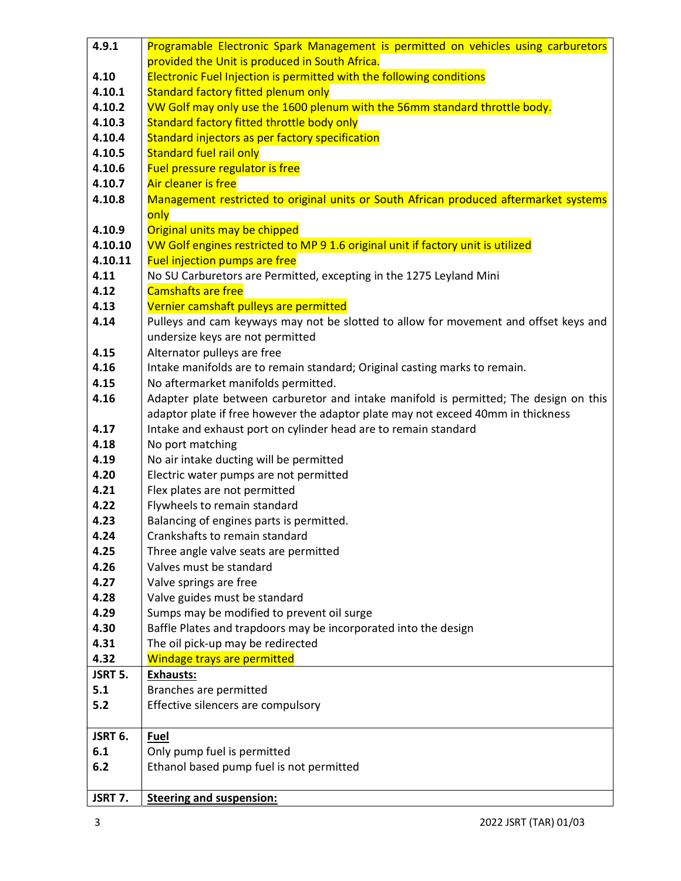| 4.9.1   | Programable Electronic Spark Management is permitted on vehicles using carburetors                                                                                        |
|---------|---------------------------------------------------------------------------------------------------------------------------------------------------------------------------|
|         | provided the Unit is produced in South Africa.                                                                                                                            |
| 4.10    | Electronic Fuel Injection is permitted with the following conditions                                                                                                      |
| 4.10.1  | Standard factory fitted plenum only                                                                                                                                       |
| 4.10.2  | VW Golf may only use the 1600 plenum with the 56mm standard throttle body.                                                                                                |
| 4.10.3  | Standard factory fitted throttle body only                                                                                                                                |
| 4.10.4  | Standard injectors as per factory specification                                                                                                                           |
| 4.10.5  | <b>Standard fuel rail only</b>                                                                                                                                            |
| 4.10.6  | Fuel pressure regulator is free                                                                                                                                           |
| 4.10.7  | Air cleaner is free                                                                                                                                                       |
| 4.10.8  | Management restricted to original units or South African produced aftermarket systems                                                                                     |
|         | only                                                                                                                                                                      |
| 4.10.9  | Original units may be chipped                                                                                                                                             |
| 4.10.10 | VW Golf engines restricted to MP 9 1.6 original unit if factory unit is utilized                                                                                          |
| 4.10.11 | <b>Fuel injection pumps are free</b>                                                                                                                                      |
| 4.11    | No SU Carburetors are Permitted, excepting in the 1275 Leyland Mini                                                                                                       |
| 4.12    | <b>Camshafts are free</b>                                                                                                                                                 |
| 4.13    | Vernier camshaft pulleys are permitted                                                                                                                                    |
| 4.14    | Pulleys and cam keyways may not be slotted to allow for movement and offset keys and                                                                                      |
|         | undersize keys are not permitted                                                                                                                                          |
| 4.15    | Alternator pulleys are free                                                                                                                                               |
| 4.16    | Intake manifolds are to remain standard; Original casting marks to remain.                                                                                                |
| 4.15    | No aftermarket manifolds permitted.                                                                                                                                       |
| 4.16    | Adapter plate between carburetor and intake manifold is permitted; The design on this<br>adaptor plate if free however the adaptor plate may not exceed 40mm in thickness |
| 4.17    | Intake and exhaust port on cylinder head are to remain standard                                                                                                           |
| 4.18    | No port matching                                                                                                                                                          |
| 4.19    | No air intake ducting will be permitted                                                                                                                                   |
| 4.20    | Electric water pumps are not permitted                                                                                                                                    |
| 4.21    | Flex plates are not permitted                                                                                                                                             |
| 4.22    | Flywheels to remain standard                                                                                                                                              |
| 4.23    | Balancing of engines parts is permitted.                                                                                                                                  |
| 4.24    | Crankshafts to remain standard                                                                                                                                            |
| 4.25    | Three angle valve seats are permitted                                                                                                                                     |
| 4.26    | Valves must be standard                                                                                                                                                   |
| 4.27    | Valve springs are free                                                                                                                                                    |
| 4.28    | Valve guides must be standard                                                                                                                                             |
| 4.29    | Sumps may be modified to prevent oil surge                                                                                                                                |
| 4.30    | Baffle Plates and trapdoors may be incorporated into the design                                                                                                           |
| 4.31    | The oil pick-up may be redirected                                                                                                                                         |
| 4.32    | Windage trays are permitted                                                                                                                                               |
| JSRT 5. | <b>Exhausts:</b>                                                                                                                                                          |
| 5.1     | Branches are permitted                                                                                                                                                    |
| 5.2     | Effective silencers are compulsory                                                                                                                                        |
| JSRT 6. | Fuel                                                                                                                                                                      |
| 6.1     | Only pump fuel is permitted                                                                                                                                               |
| 6.2     | Ethanol based pump fuel is not permitted                                                                                                                                  |
| JSRT 7. | <b>Steering and suspension:</b>                                                                                                                                           |
|         |                                                                                                                                                                           |